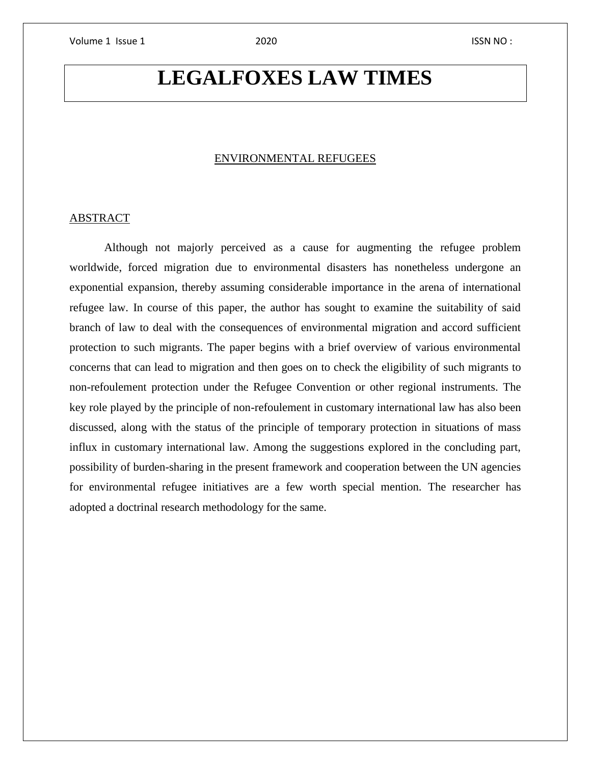# **LEGALFOXES LAW TIMES**

### ENVIRONMENTAL REFUGEES

### ABSTRACT

Although not majorly perceived as a cause for augmenting the refugee problem worldwide, forced migration due to environmental disasters has nonetheless undergone an exponential expansion, thereby assuming considerable importance in the arena of international refugee law. In course of this paper, the author has sought to examine the suitability of said branch of law to deal with the consequences of environmental migration and accord sufficient protection to such migrants. The paper begins with a brief overview of various environmental concerns that can lead to migration and then goes on to check the eligibility of such migrants to non-refoulement protection under the Refugee Convention or other regional instruments. The key role played by the principle of non-refoulement in customary international law has also been discussed, along with the status of the principle of temporary protection in situations of mass influx in customary international law. Among the suggestions explored in the concluding part, possibility of burden-sharing in the present framework and cooperation between the UN agencies for environmental refugee initiatives are a few worth special mention. The researcher has adopted a doctrinal research methodology for the same.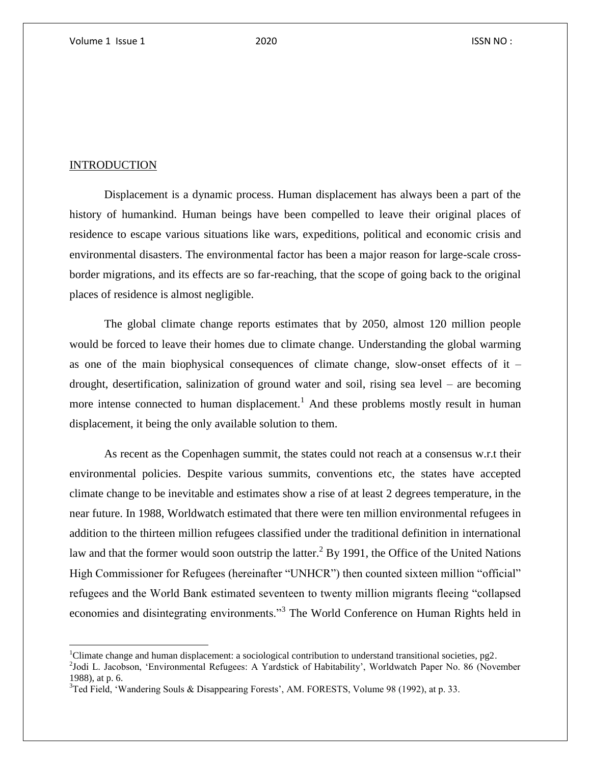### **INTRODUCTION**

 $\overline{\phantom{a}}$ 

Displacement is a dynamic process. Human displacement has always been a part of the history of humankind. Human beings have been compelled to leave their original places of residence to escape various situations like wars, expeditions, political and economic crisis and environmental disasters. The environmental factor has been a major reason for large-scale crossborder migrations, and its effects are so far-reaching, that the scope of going back to the original places of residence is almost negligible.

The global climate change reports estimates that by 2050, almost 120 million people would be forced to leave their homes due to climate change. Understanding the global warming as one of the main biophysical consequences of climate change, slow-onset effects of it – drought, desertification, salinization of ground water and soil, rising sea level – are becoming more intense connected to human displacement.<sup>1</sup> And these problems mostly result in human displacement, it being the only available solution to them.

As recent as the Copenhagen summit, the states could not reach at a consensus w.r.t their environmental policies. Despite various summits, conventions etc, the states have accepted climate change to be inevitable and estimates show a rise of at least 2 degrees temperature, in the near future. In 1988, Worldwatch estimated that there were ten million environmental refugees in addition to the thirteen million refugees classified under the traditional definition in international law and that the former would soon outstrip the latter.<sup>2</sup> By 1991, the Office of the United Nations High Commissioner for Refugees (hereinafter "UNHCR") then counted sixteen million "official" refugees and the World Bank estimated seventeen to twenty million migrants fleeing "collapsed economies and disintegrating environments."<sup>3</sup> The World Conference on Human Rights held in

<sup>1</sup>Climate change and human displacement: a sociological contribution to understand transitional societies, pg2.

<sup>&</sup>lt;sup>2</sup>Jodi L. Jacobson, 'Environmental Refugees: A Yardstick of Habitability', Worldwatch Paper No. 86 (November 1988), at p. 6.

 $3$ Ted Field, 'Wandering Souls & Disappearing Forests', AM. FORESTS, Volume 98 (1992), at p. 33.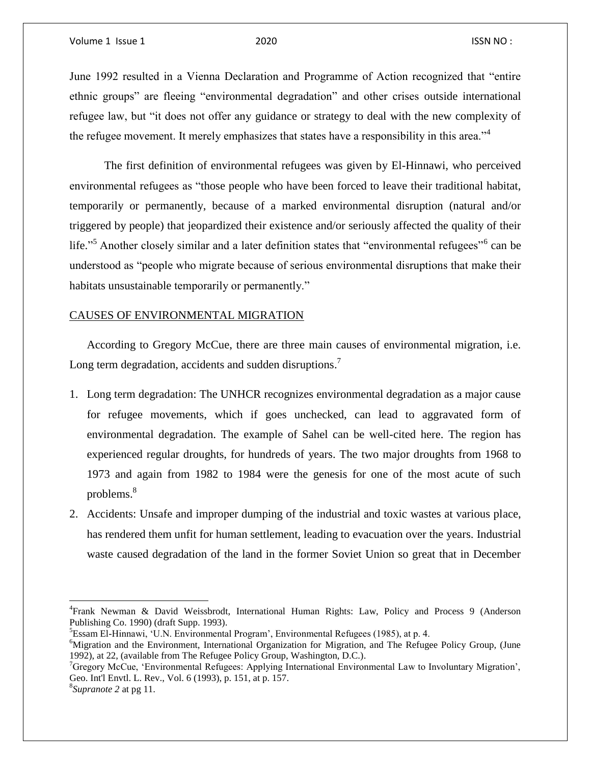June 1992 resulted in a Vienna Declaration and Programme of Action recognized that "entire ethnic groups" are fleeing "environmental degradation" and other crises outside international refugee law, but "it does not offer any guidance or strategy to deal with the new complexity of the refugee movement. It merely emphasizes that states have a responsibility in this area."<sup>4</sup>

The first definition of environmental refugees was given by El-Hinnawi, who perceived environmental refugees as "those people who have been forced to leave their traditional habitat, temporarily or permanently, because of a marked environmental disruption (natural and/or triggered by people) that jeopardized their existence and/or seriously affected the quality of their life."<sup>5</sup> Another closely similar and a later definition states that "environmental refugees"<sup>6</sup> can be understood as "people who migrate because of serious environmental disruptions that make their habitats unsustainable temporarily or permanently."

### CAUSES OF ENVIRONMENTAL MIGRATION

According to Gregory McCue, there are three main causes of environmental migration, i.e. Long term degradation, accidents and sudden disruptions.<sup>7</sup>

- 1. Long term degradation: The UNHCR recognizes environmental degradation as a major cause for refugee movements, which if goes unchecked, can lead to aggravated form of environmental degradation. The example of Sahel can be well-cited here. The region has experienced regular droughts, for hundreds of years. The two major droughts from 1968 to 1973 and again from 1982 to 1984 were the genesis for one of the most acute of such problems. 8
- 2. Accidents: Unsafe and improper dumping of the industrial and toxic wastes at various place, has rendered them unfit for human settlement, leading to evacuation over the years. Industrial waste caused degradation of the land in the former Soviet Union so great that in December

 $\overline{a}$ 

<sup>4</sup> Frank Newman & David Weissbrodt, International Human Rights: Law, Policy and Process 9 (Anderson Publishing Co. 1990) (draft Supp. 1993).

<sup>5</sup>Essam El-Hinnawi, 'U.N. Environmental Program', Environmental Refugees (1985), at p. 4.

<sup>&</sup>lt;sup>6</sup>Migration and the Environment, International Organization for Migration, and The Refugee Policy Group, (June 1992), at 22, (available from The Refugee Policy Group, Washington, D.C.).

 $^7$ Gregory McCue, 'Environmental Refugees: Applying International Environmental Law to Involuntary Migration', Geo. Int'l Envtl. L. Rev., Vol. 6 (1993), p. 151, at p. 157.

<sup>8</sup> *Supranote 2* at pg 11.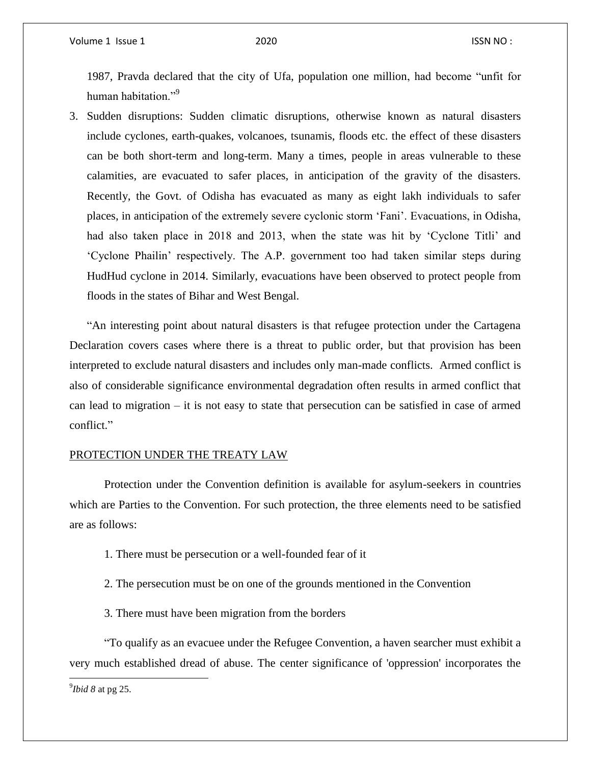1987, Pravda declared that the city of Ufa, population one million, had become "unfit for human habitation."<sup>9</sup>

3. Sudden disruptions: Sudden climatic disruptions, otherwise known as natural disasters include cyclones, earth-quakes, volcanoes, tsunamis, floods etc. the effect of these disasters can be both short-term and long-term. Many a times, people in areas vulnerable to these calamities, are evacuated to safer places, in anticipation of the gravity of the disasters. Recently, the Govt. of Odisha has evacuated as many as eight lakh individuals to safer places, in anticipation of the extremely severe cyclonic storm 'Fani'. Evacuations, in Odisha, had also taken place in 2018 and 2013, when the state was hit by 'Cyclone Titli' and 'Cyclone Phailin' respectively. The A.P. government too had taken similar steps during HudHud cyclone in 2014. Similarly, evacuations have been observed to protect people from floods in the states of Bihar and West Bengal.

"An interesting point about natural disasters is that refugee protection under the Cartagena Declaration covers cases where there is a threat to public order, but that provision has been interpreted to exclude natural disasters and includes only man-made conflicts. Armed conflict is also of considerable significance environmental degradation often results in armed conflict that can lead to migration – it is not easy to state that persecution can be satisfied in case of armed conflict."

### PROTECTION UNDER THE TREATY LAW

Protection under the Convention definition is available for asylum-seekers in countries which are Parties to the Convention. For such protection, the three elements need to be satisfied are as follows:

- 1. There must be persecution or a well-founded fear of it
- 2. The persecution must be on one of the grounds mentioned in the Convention
- 3. There must have been migration from the borders

"To qualify as an evacuee under the Refugee Convention, a haven searcher must exhibit a very much established dread of abuse. The center significance of 'oppression' incorporates the

 $\overline{\phantom{a}}$ 

<sup>9</sup> *Ibid 8* at pg 25.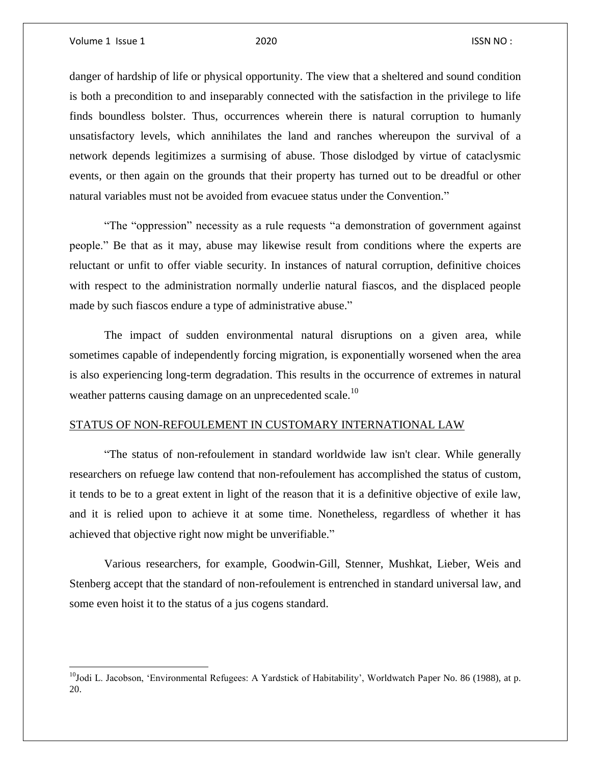$\overline{\phantom{a}}$ 

danger of hardship of life or physical opportunity. The view that a sheltered and sound condition is both a precondition to and inseparably connected with the satisfaction in the privilege to life finds boundless bolster. Thus, occurrences wherein there is natural corruption to humanly unsatisfactory levels, which annihilates the land and ranches whereupon the survival of a network depends legitimizes a surmising of abuse. Those dislodged by virtue of cataclysmic events, or then again on the grounds that their property has turned out to be dreadful or other natural variables must not be avoided from evacuee status under the Convention."

"The "oppression" necessity as a rule requests "a demonstration of government against people." Be that as it may, abuse may likewise result from conditions where the experts are reluctant or unfit to offer viable security. In instances of natural corruption, definitive choices with respect to the administration normally underlie natural fiascos, and the displaced people made by such fiascos endure a type of administrative abuse."

The impact of sudden environmental natural disruptions on a given area, while sometimes capable of independently forcing migration, is exponentially worsened when the area is also experiencing long-term degradation. This results in the occurrence of extremes in natural weather patterns causing damage on an unprecedented scale.<sup>10</sup>

### STATUS OF NON-REFOULEMENT IN CUSTOMARY INTERNATIONAL LAW

"The status of non-refoulement in standard worldwide law isn't clear. While generally researchers on refuege law contend that non-refoulement has accomplished the status of custom, it tends to be to a great extent in light of the reason that it is a definitive objective of exile law, and it is relied upon to achieve it at some time. Nonetheless, regardless of whether it has achieved that objective right now might be unverifiable."

Various researchers, for example, Goodwin-Gill, Stenner, Mushkat, Lieber, Weis and Stenberg accept that the standard of non-refoulement is entrenched in standard universal law, and some even hoist it to the status of a jus cogens standard.

 $10$ Jodi L. Jacobson, 'Environmental Refugees: A Yardstick of Habitability', Worldwatch Paper No. 86 (1988), at p. 20.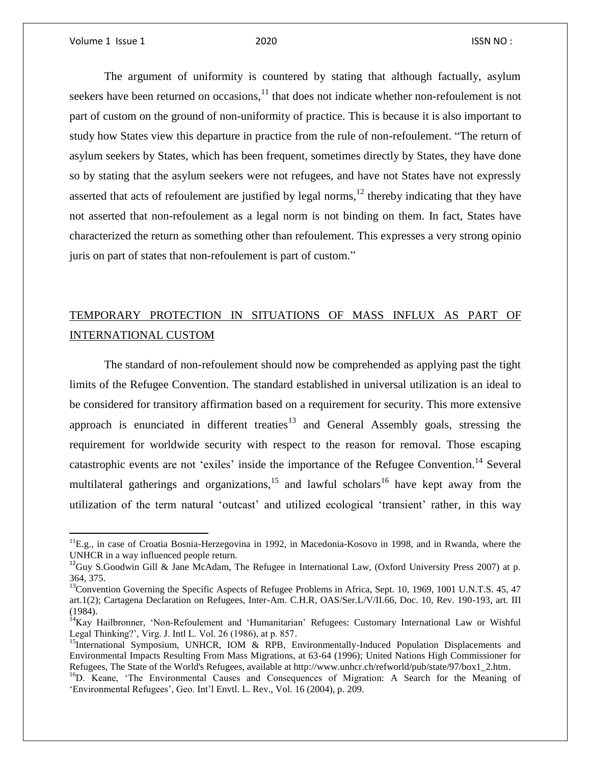$\overline{a}$ 

The argument of uniformity is countered by stating that although factually, asylum seekers have been returned on occasions, $^{11}$  that does not indicate whether non-refoulement is not part of custom on the ground of non-uniformity of practice. This is because it is also important to study how States view this departure in practice from the rule of non-refoulement. "The return of asylum seekers by States, which has been frequent, sometimes directly by States, they have done so by stating that the asylum seekers were not refugees, and have not States have not expressly asserted that acts of refoulement are justified by legal norms, $<sup>12</sup>$  thereby indicating that they have</sup> not asserted that non-refoulement as a legal norm is not binding on them. In fact, States have characterized the return as something other than refoulement. This expresses a very strong opinio juris on part of states that non-refoulement is part of custom."

# TEMPORARY PROTECTION IN SITUATIONS OF MASS INFLUX AS PART OF INTERNATIONAL CUSTOM

The standard of non-refoulement should now be comprehended as applying past the tight limits of the Refugee Convention. The standard established in universal utilization is an ideal to be considered for transitory affirmation based on a requirement for security. This more extensive approach is enunciated in different treaties<sup>13</sup> and General Assembly goals, stressing the requirement for worldwide security with respect to the reason for removal. Those escaping catastrophic events are not 'exiles' inside the importance of the Refugee Convention.<sup>14</sup> Several multilateral gatherings and organizations,<sup>15</sup> and lawful scholars<sup>16</sup> have kept away from the utilization of the term natural 'outcast' and utilized ecological 'transient' rather, in this way

<sup>&</sup>lt;sup>11</sup>E.g., in case of Croatia Bosnia-Herzegovina in 1992, in Macedonia-Kosovo in 1998, and in Rwanda, where the UNHCR in a way influenced people return.

<sup>&</sup>lt;sup>12</sup>Guy S.Goodwin Gill & Jane McAdam, The Refugee in International Law, (Oxford University Press 2007) at p. 364, 375.

<sup>&</sup>lt;sup>13</sup>Convention Governing the Specific Aspects of Refugee Problems in Africa, Sept. 10, 1969, 1001 U.N.T.S. 45, 47 art.1(2); Cartagena Declaration on Refugees, Inter-Am. C.H.R, OAS/Ser.L/V/II.66, Doc. 10, Rev. 190-193, art. III (1984).

<sup>&</sup>lt;sup>14</sup>Kay Hailbronner, 'Non-Refoulement and 'Humanitarian' Refugees: Customary International Law or Wishful Legal Thinking?', Virg. J. Intl L. Vol. 26 (1986), at p. 857.

<sup>&</sup>lt;sup>15</sup>International Symposium, UNHCR, IOM & RPB, Environmentally-Induced Population Displacements and Environmental Impacts Resulting From Mass Migrations, at 63-64 (1996); United Nations High Commissioner for Refugees, The State of the World's Refugees, available at http://www.unhcr.ch/refworld/pub/state/97/box1\_2.htm.

<sup>&</sup>lt;sup>16</sup>D. Keane, 'The Environmental Causes and Consequences of Migration: A Search for the Meaning of 'Environmental Refugees', Geo. Int'l Envtl. L. Rev., Vol. 16 (2004), p. 209.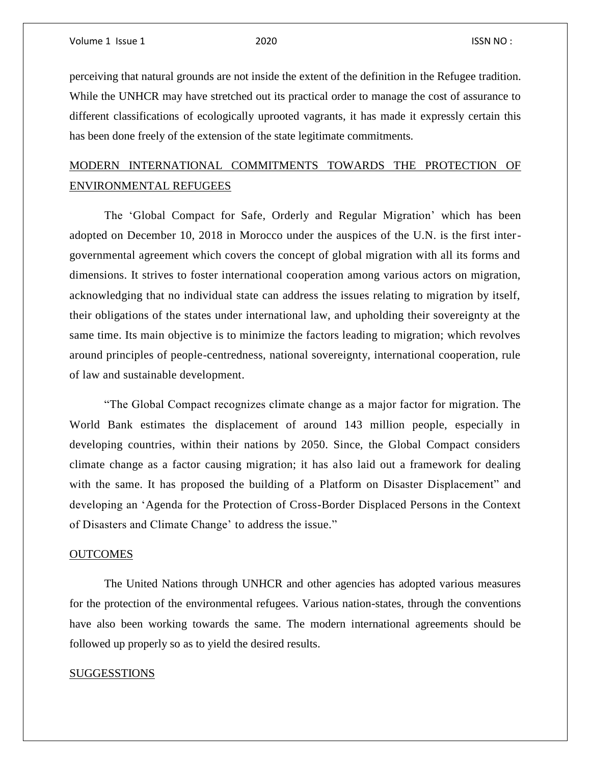perceiving that natural grounds are not inside the extent of the definition in the Refugee tradition. While the UNHCR may have stretched out its practical order to manage the cost of assurance to different classifications of ecologically uprooted vagrants, it has made it expressly certain this has been done freely of the extension of the state legitimate commitments.

## MODERN INTERNATIONAL COMMITMENTS TOWARDS THE PROTECTION OF ENVIRONMENTAL REFUGEES

The 'Global Compact for Safe, Orderly and Regular Migration' which has been adopted on December 10, 2018 in Morocco under the auspices of the U.N. is the first intergovernmental agreement which covers the concept of global migration with all its forms and dimensions. It strives to foster international cooperation among various actors on migration, acknowledging that no individual state can address the issues relating to migration by itself, their obligations of the states under international law, and upholding their sovereignty at the same time. Its main objective is to minimize the factors leading to migration; which revolves around principles of people-centredness, national sovereignty, international cooperation, rule of law and sustainable development.

"The Global Compact recognizes climate change as a major factor for migration. The World Bank estimates the displacement of around 143 million people, especially in developing countries, within their nations by 2050. Since, the Global Compact considers climate change as a factor causing migration; it has also laid out a framework for dealing with the same. It has proposed the building of a Platform on Disaster Displacement" and developing an 'Agenda for the Protection of Cross-Border Displaced Persons in the Context of Disasters and Climate Change' to address the issue."

### **OUTCOMES**

The United Nations through UNHCR and other agencies has adopted various measures for the protection of the environmental refugees. Various nation-states, through the conventions have also been working towards the same. The modern international agreements should be followed up properly so as to yield the desired results.

### **SUGGESSTIONS**